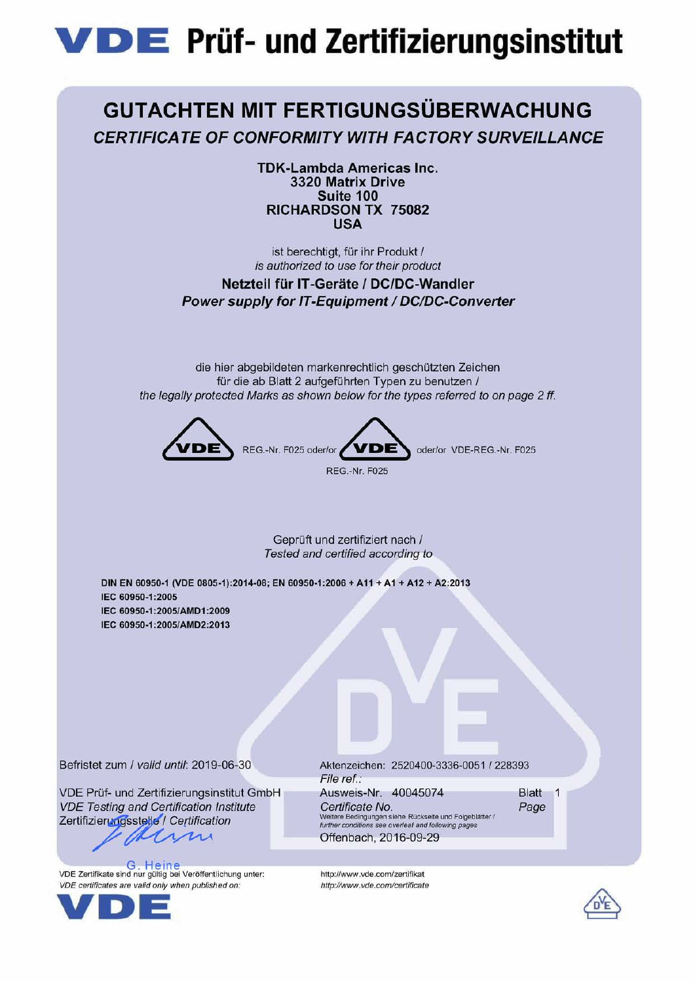## **VDE** Prüf- und Zertifizierungsinstitut

## **GUTACHTEN MIT FERTIGUNGSÜBERWACHUNG CERTIFICATE OF CONFORMITY WITH FACTORY SURVEILLANCE**

**TDK-Lambda Americas Inc.** 3320 Matrix Drive Suite 100 RICHARDSON TX 75082 **USA** 

ist berechtigt, für ihr Produkt / is authorized to use for their product

Netzteil für IT-Geräte / DC/DC-Wandler Power supply for IT-Equipment / DC/DC-Converter

die hier abgebildeten markenrechtlich geschützten Zeichen für die ab Blatt 2 aufgeführten Typen zu benutzen / the legally protected Marks as shown below for the types referred to on page 2 ff.



Geprüft und zertifiziert nach / Tested and certified according to

DIN EN 60950-1 (VDE 0805-1):2014-08; EN 60950-1:2006 + A11 + A1 + A12 + A2:2013 IEC 60950-1:2005 IEC 60950-1:2005/AMD1:2009 IEC 60950-1:2005/AMD2:2013

Befristet zum / valid until: 2019-06-30

VDE Prüf- und Zertifizierungsinstitut GmbH **VDE Testing and Certification Institute** Zertifizierungsstelle / Certification m

G Heine VDE Zertifikate sind nur gültig bei Veröffentlichung unter: VDE certificates are valid only when published on:



Aktenzeichen: 2520400-3336-0051 / 228393 File ref.: Ausweis-Nr. 40045074 Blatt 1 Certificate No. Page Weitere Bedingungen siehe Rückseite und Folgeblätter /<br>further conditions see overleaf and following pages Offenbach, 2016-09-29



http://www.vde.com/zertifikat

http://www.vde.com/certificate